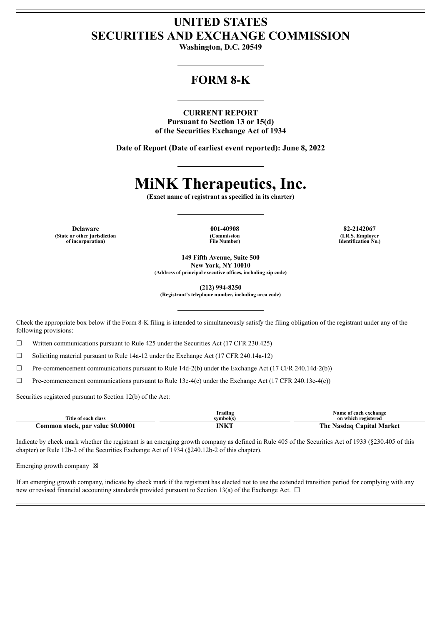## **UNITED STATES SECURITIES AND EXCHANGE COMMISSION**

**Washington, D.C. 20549**

## **FORM 8-K**

**CURRENT REPORT Pursuant to Section 13 or 15(d) of the Securities Exchange Act of 1934**

**Date of Report (Date of earliest event reported): June 8, 2022**

# **MiNK Therapeutics, Inc.**

**(Exact name of registrant as specified in its charter)**

**Delaware 001-40908 82-2142067 (State or other jurisdiction of incorporation)**

**(Commission File Number)**

**(I.R.S. Employer Identification No.)**

**149 Fifth Avenue, Suite 500 New York, NY 10010 (Address of principal executive offices, including zip code)**

**(212) 994-8250**

**(Registrant's telephone number, including area code)**

Check the appropriate box below if the Form 8-K filing is intended to simultaneously satisfy the filing obligation of the registrant under any of the following provisions:

 $\Box$  Written communications pursuant to Rule 425 under the Securities Act (17 CFR 230.425)

☐ Soliciting material pursuant to Rule 14a-12 under the Exchange Act (17 CFR 240.14a-12)

☐ Pre-commencement communications pursuant to Rule 14d-2(b) under the Exchange Act (17 CFR 240.14d-2(b))

☐ Pre-commencement communications pursuant to Rule 13e-4(c) under the Exchange Act (17 CFR 240.13e-4(c))

Securities registered pursuant to Section 12(b) of the Act:

|                                   | Trading     | Name of each exchange     |
|-----------------------------------|-------------|---------------------------|
| Title of each class               | svmbol(s)   | on which registered       |
| Common stock, par value \$0.00001 | <b>NILT</b> | The Nasdaq Capital Market |

Indicate by check mark whether the registrant is an emerging growth company as defined in Rule 405 of the Securities Act of 1933 (§230.405 of this chapter) or Rule 12b-2 of the Securities Exchange Act of 1934 (§240.12b-2 of this chapter).

Emerging growth company  $\boxtimes$ 

If an emerging growth company, indicate by check mark if the registrant has elected not to use the extended transition period for complying with any new or revised financial accounting standards provided pursuant to Section 13(a) of the Exchange Act.  $\Box$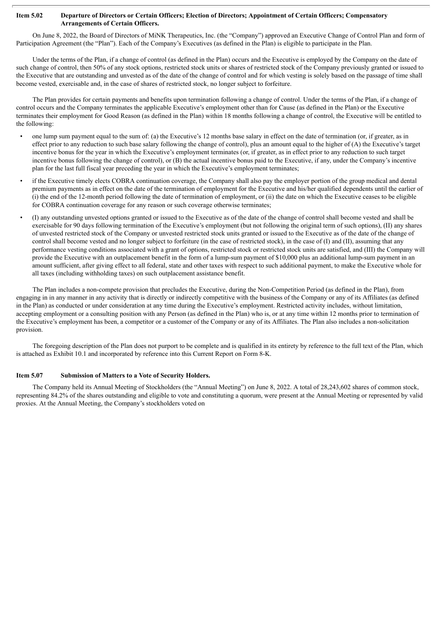#### Item 5.02 Departure of Directors or Certain Officers; Election of Directors; Appointment of Certain Officers; Compensatory **Arrangements of Certain Officers.**

On June 8, 2022, the Board of Directors of MiNK Therapeutics, Inc. (the "Company") approved an Executive Change of Control Plan and form of Participation Agreement (the "Plan"). Each of the Company's Executives (as defined in the Plan) is eligible to participate in the Plan.

Under the terms of the Plan, if a change of control (as defined in the Plan) occurs and the Executive is employed by the Company on the date of such change of control, then 50% of any stock options, restricted stock units or shares of restricted stock of the Company previously granted or issued to the Executive that are outstanding and unvested as of the date of the change of control and for which vesting is solely based on the passage of time shall become vested, exercisable and, in the case of shares of restricted stock, no longer subject to forfeiture.

The Plan provides for certain payments and benefits upon termination following a change of control. Under the terms of the Plan, if a change of control occurs and the Company terminates the applicable Executive's employment other than for Cause (as defined in the Plan) or the Executive terminates their employment for Good Reason (as defined in the Plan) within 18 months following a change of control, the Executive will be entitled to the following:

- one lump sum payment equal to the sum of: (a) the Executive's 12 months base salary in effect on the date of termination (or, if greater, as in effect prior to any reduction to such base salary following the change of control), plus an amount equal to the higher of (A) the Executive's target incentive bonus for the year in which the Executive's employment terminates (or, if greater, as in effect prior to any reduction to such target incentive bonus following the change of control), or (B) the actual incentive bonus paid to the Executive, if any, under the Company's incentive plan for the last full fiscal year preceding the year in which the Executive's employment terminates;
- if the Executive timely elects COBRA continuation coverage, the Company shall also pay the employer portion of the group medical and dental premium payments as in effect on the date of the termination of employment for the Executive and his/her qualified dependents until the earlier of (i) the end of the 12-month period following the date of termination of employment, or (ii) the date on which the Executive ceases to be eligible for COBRA continuation coverage for any reason or such coverage otherwise terminates;
- (I) any outstanding unvested options granted or issued to the Executive as of the date of the change of control shall become vested and shall be exercisable for 90 days following termination of the Executive's employment (but not following the original term of such options), (II) any shares of unvested restricted stock of the Company or unvested restricted stock units granted or issued to the Executive as of the date of the change of control shall become vested and no longer subject to forfeiture (in the case of restricted stock), in the case of (I) and (II), assuming that any performance vesting conditions associated with a grant of options, restricted stock or restricted stock units are satisfied, and (III) the Company will provide the Executive with an outplacement benefit in the form of a lump-sum payment of \$10,000 plus an additional lump-sum payment in an amount sufficient, after giving effect to all federal, state and other taxes with respect to such additional payment, to make the Executive whole for all taxes (including withholding taxes) on such outplacement assistance benefit.

The Plan includes a non-compete provision that precludes the Executive, during the Non-Competition Period (as defined in the Plan), from engaging in in any manner in any activity that is directly or indirectly competitive with the business of the Company or any of its Affiliates (as defined in the Plan) as conducted or under consideration at any time during the Executive's employment. Restricted activity includes, without limitation, accepting employment or a consulting position with any Person (as defined in the Plan) who is, or at any time within 12 months prior to termination of the Executive's employment has been, a competitor or a customer of the Company or any of its Affiliates. The Plan also includes a non-solicitation provision.

The foregoing description of the Plan does not purport to be complete and is qualified in its entirety by reference to the full text of the Plan, which is attached as Exhibit 10.1 and incorporated by reference into this Current Report on Form 8-K.

#### **Item 5.07 Submission of Matters to a Vote of Security Holders.**

The Company held its Annual Meeting of Stockholders (the "Annual Meeting") on June 8, 2022. A total of 28,243,602 shares of common stock, representing 84.2% of the shares outstanding and eligible to vote and constituting a quorum, were present at the Annual Meeting or represented by valid proxies. At the Annual Meeting, the Company's stockholders voted on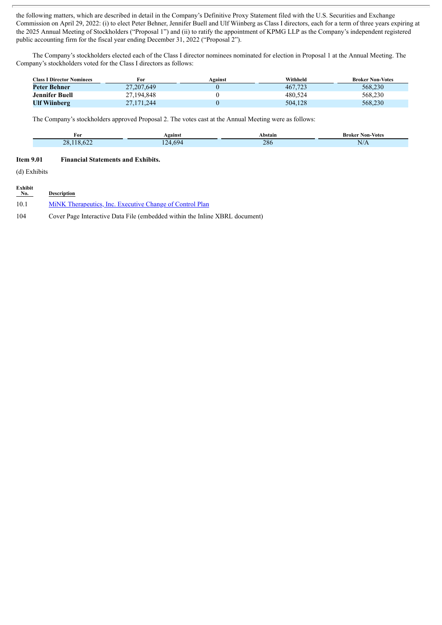the following matters, which are described in detail in the Company's Definitive Proxy Statement filed with the U.S. Securities and Exchange Commission on April 29, 2022: (i) to elect Peter Behner, Jennifer Buell and Ulf Wiinberg as Class I directors, each for a term of three years expiring at the 2025 Annual Meeting of Stockholders ("Proposal 1") and (ii) to ratify the appointment of KPMG LLP as the Company's independent registered public accounting firm for the fiscal year ending December 31, 2022 ("Proposal 2").

The Company's stockholders elected each of the Class I director nominees nominated for election in Proposal 1 at the Annual Meeting. The Company's stockholders voted for the Class I directors as follows:

| <b>Class I Director Nominees</b> | For          | Against | Withheld | <b>Broker Non-Votes</b> |
|----------------------------------|--------------|---------|----------|-------------------------|
| Peter Behner                     | 27, 207, 649 |         | 467.723  | 568,230                 |
| <b>Jennifer Buell</b>            | 27,194,848   |         | 480.524  | 568,230                 |
| <b>Ulf Wiinberg</b>              | 27.171.244   |         | 504,128  | 568,230                 |

The Company's stockholders approved Proposal 2. The votes cast at the Annual Meeting were as follows:

| For<br>____              | 921N.                                                                                                                   |        | Krol<br>Non-<br>Votes<br>$\overline{r}$ and $\overline{r}$<br>. |
|--------------------------|-------------------------------------------------------------------------------------------------------------------------|--------|-----------------------------------------------------------------|
| no.<br>$\sim$<br>-<br>__ | $\mathcal{L}(\mathcal{L})$ and $\mathcal{L}(\mathcal{L})$ and $\mathcal{L}(\mathcal{L})$ and $\mathcal{L}(\mathcal{L})$ | $\cap$ | $\sim$ $\sim$ $\sim$                                            |

### **Item 9.01 Financial Statements and Exhibits.**

(d) Exhibits

| Exhibit<br>No. | <b>Description</b>                                                          |
|----------------|-----------------------------------------------------------------------------|
| 10.1           | MiNK Therapeutics, Inc. Executive Change of Control Plan                    |
| 104            | Cover Page Interactive Data File (embedded within the Inline XBRL document) |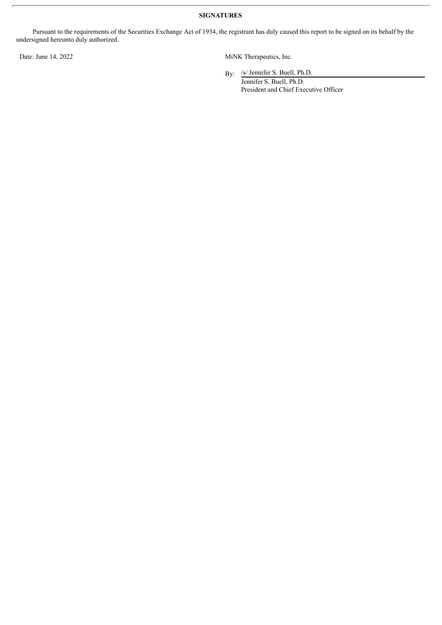**SIGNATURES**

Pursuant to the requirements of the Securities Exchange Act of 1934, the registrant has duly caused this report to be signed on its behalf by the undersigned hereunto duly authorized.

Date: June 14, 2022 MiNK Therapeutics, Inc.

By: /s/ Jennifer S. Buell, Ph.D.

Jennifer S. Buell, Ph.D. President and Chief Executive Officer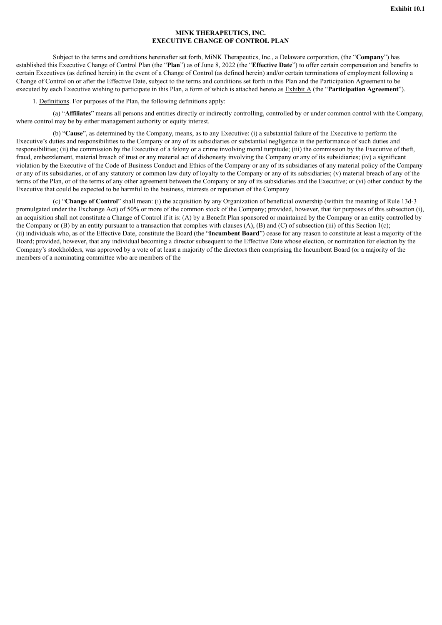#### **MINK THERAPEUTICS, INC. EXECUTIVE CHANGE OF CONTROL PLAN**

<span id="page-4-0"></span>Subject to the terms and conditions hereinafter set forth, MiNK Therapeutics, Inc., a Delaware corporation, (the "**Company**") has established this Executive Change of Control Plan (the "**Plan**") as of June 8, 2022 (the "**Effective Date**") to offer certain compensation and benefits to certain Executives (as defined herein) in the event of a Change of Control (as defined herein) and/or certain terminations of employment following a Change of Control on or after the Effective Date, subject to the terms and conditions set forth in this Plan and the Participation Agreement to be executed by each Executive wishing to participate in this Plan, a form of which is attached hereto as Exhibit A (the "**Participation Agreement**").

1. Definitions. For purposes of the Plan, the following definitions apply:

(a) "**Affiliates**" means all persons and entities directly or indirectly controlling, controlled by or under common control with the Company, where control may be by either management authority or equity interest.

(b) "**Cause**", as determined by the Company, means, as to any Executive: (i) a substantial failure of the Executive to perform the Executive's duties and responsibilities to the Company or any of its subsidiaries or substantial negligence in the performance of such duties and responsibilities; (ii) the commission by the Executive of a felony or a crime involving moral turpitude; (iii) the commission by the Executive of theft, fraud, embezzlement, material breach of trust or any material act of dishonesty involving the Company or any of its subsidiaries; (iv) a significant violation by the Executive of the Code of Business Conduct and Ethics of the Company or any of its subsidiaries of any material policy of the Company or any of its subsidiaries, or of any statutory or common law duty of loyalty to the Company or any of its subsidiaries; (v) material breach of any of the terms of the Plan, or of the terms of any other agreement between the Company or any of its subsidiaries and the Executive; or (vi) other conduct by the Executive that could be expected to be harmful to the business, interests or reputation of the Company

(c) "**Change of Control**" shall mean: (i) the acquisition by any Organization of beneficial ownership (within the meaning of Rule 13d-3 promulgated under the Exchange Act) of 50% or more of the common stock of the Company; provided, however, that for purposes of this subsection (i), an acquisition shall not constitute a Change of Control if it is: (A) by a Benefit Plan sponsored or maintained by the Company or an entity controlled by the Company or (B) by an entity pursuant to a transaction that complies with clauses (A), (B) and (C) of subsection (iii) of this Section 1(c); (ii) individuals who, as of the Effective Date, constitute the Board (the "**Incumbent Board**") cease for any reason to constitute at least a majority of the Board; provided, however, that any individual becoming a director subsequent to the Effective Date whose election, or nomination for election by the Company's stockholders, was approved by a vote of at least a majority of the directors then comprising the Incumbent Board (or a majority of the members of a nominating committee who are members of the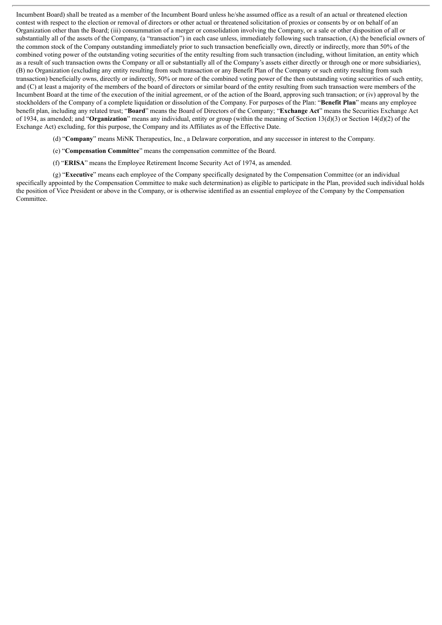Incumbent Board) shall be treated as a member of the Incumbent Board unless he/she assumed office as a result of an actual or threatened election contest with respect to the election or removal of directors or other actual or threatened solicitation of proxies or consents by or on behalf of an Organization other than the Board; (iii) consummation of a merger or consolidation involving the Company, or a sale or other disposition of all or substantially all of the assets of the Company, (a "transaction") in each case unless, immediately following such transaction, (A) the beneficial owners of the common stock of the Company outstanding immediately prior to such transaction beneficially own, directly or indirectly, more than 50% of the combined voting power of the outstanding voting securities of the entity resulting from such transaction (including, without limitation, an entity which as a result of such transaction owns the Company or all or substantially all of the Company's assets either directly or through one or more subsidiaries), (B) no Organization (excluding any entity resulting from such transaction or any Benefit Plan of the Company or such entity resulting from such transaction) beneficially owns, directly or indirectly, 50% or more of the combined voting power of the then outstanding voting securities of such entity, and (C) at least a majority of the members of the board of directors or similar board of the entity resulting from such transaction were members of the Incumbent Board at the time of the execution of the initial agreement, or of the action of the Board, approving such transaction; or (iv) approval by the stockholders of the Company of a complete liquidation or dissolution of the Company. For purposes of the Plan: "**Benefit Plan**" means any employee benefit plan, including any related trust; "**Board**" means the Board of Directors of the Company; "**Exchange Act**" means the Securities Exchange Act of 1934, as amended; and "**Organization**" means any individual, entity or group (within the meaning of Section 13(d)(3) or Section 14(d)(2) of the Exchange Act) excluding, for this purpose, the Company and its Affiliates as of the Effective Date.

(d) "**Company**" means MiNK Therapeutics, Inc., a Delaware corporation, and any successor in interest to the Company.

- (e) "**Compensation Committee**" means the compensation committee of the Board.
- (f) "**ERISA**" means the Employee Retirement Income Security Act of 1974, as amended.

(g) "**Executive**" means each employee of the Company specifically designated by the Compensation Committee (or an individual specifically appointed by the Compensation Committee to make such determination) as eligible to participate in the Plan, provided such individual holds the position of Vice President or above in the Company, or is otherwise identified as an essential employee of the Company by the Compensation Committee.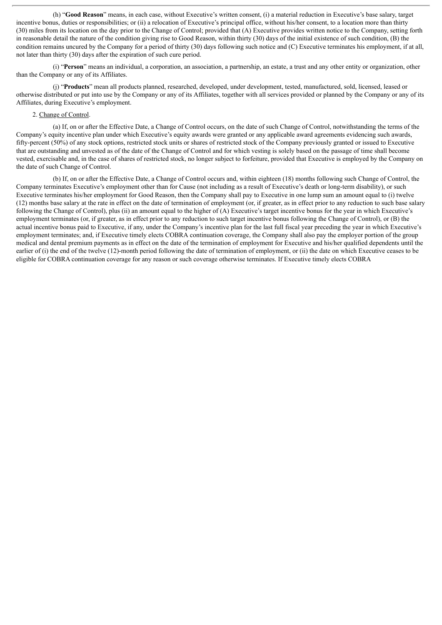(h) "**Good Reason**" means, in each case, without Executive's written consent, (i) a material reduction in Executive's base salary, target incentive bonus, duties or responsibilities; or (ii) a relocation of Executive's principal office, without his/her consent, to a location more than thirty (30) miles from its location on the day prior to the Change of Control; provided that (A) Executive provides written notice to the Company, setting forth in reasonable detail the nature of the condition giving rise to Good Reason, within thirty (30) days of the initial existence of such condition, (B) the condition remains uncured by the Company for a period of thirty (30) days following such notice and (C) Executive terminates his employment, if at all, not later than thirty (30) days after the expiration of such cure period.

(i) "**Person**" means an individual, a corporation, an association, a partnership, an estate, a trust and any other entity or organization, other than the Company or any of its Affiliates.

(j) "**Products**" mean all products planned, researched, developed, under development, tested, manufactured, sold, licensed, leased or otherwise distributed or put into use by the Company or any of its Affiliates, together with all services provided or planned by the Company or any of its Affiliates, during Executive's employment.

#### 2. Change of Control.

(a) If, on or after the Effective Date, a Change of Control occurs, on the date of such Change of Control, notwithstanding the terms of the Company's equity incentive plan under which Executive's equity awards were granted or any applicable award agreements evidencing such awards, fifty-percent (50%) of any stock options, restricted stock units or shares of restricted stock of the Company previously granted or issued to Executive that are outstanding and unvested as of the date of the Change of Control and for which vesting is solely based on the passage of time shall become vested, exercisable and, in the case of shares of restricted stock, no longer subject to forfeiture, provided that Executive is employed by the Company on the date of such Change of Control.

(b) If, on or after the Effective Date, a Change of Control occurs and, within eighteen (18) months following such Change of Control, the Company terminates Executive's employment other than for Cause (not including as a result of Executive's death or long-term disability), or such Executive terminates his/her employment for Good Reason, then the Company shall pay to Executive in one lump sum an amount equal to (i) twelve (12) months base salary at the rate in effect on the date of termination of employment (or, if greater, as in effect prior to any reduction to such base salary following the Change of Control), plus (ii) an amount equal to the higher of (A) Executive's target incentive bonus for the year in which Executive's employment terminates (or, if greater, as in effect prior to any reduction to such target incentive bonus following the Change of Control), or (B) the actual incentive bonus paid to Executive, if any, under the Company's incentive plan for the last full fiscal year preceding the year in which Executive's employment terminates; and, if Executive timely elects COBRA continuation coverage, the Company shall also pay the employer portion of the group medical and dental premium payments as in effect on the date of the termination of employment for Executive and his/her qualified dependents until the earlier of (i) the end of the twelve (12)-month period following the date of termination of employment, or (ii) the date on which Executive ceases to be eligible for COBRA continuation coverage for any reason or such coverage otherwise terminates. If Executive timely elects COBRA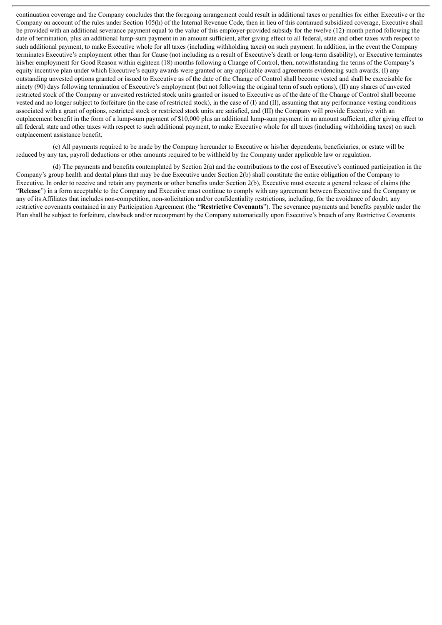continuation coverage and the Company concludes that the foregoing arrangement could result in additional taxes or penalties for either Executive or the Company on account of the rules under Section 105(h) of the Internal Revenue Code, then in lieu of this continued subsidized coverage, Executive shall be provided with an additional severance payment equal to the value of this employer-provided subsidy for the twelve (12)-month period following the date of termination, plus an additional lump-sum payment in an amount sufficient, after giving effect to all federal, state and other taxes with respect to such additional payment, to make Executive whole for all taxes (including withholding taxes) on such payment. In addition, in the event the Company terminates Executive's employment other than for Cause (not including as a result of Executive's death or long-term disability), or Executive terminates his/her employment for Good Reason within eighteen (18) months following a Change of Control, then, notwithstanding the terms of the Company's equity incentive plan under which Executive's equity awards were granted or any applicable award agreements evidencing such awards, (I) any outstanding unvested options granted or issued to Executive as of the date of the Change of Control shall become vested and shall be exercisable for ninety (90) days following termination of Executive's employment (but not following the original term of such options), (II) any shares of unvested restricted stock of the Company or unvested restricted stock units granted or issued to Executive as of the date of the Change of Control shall become vested and no longer subject to forfeiture (in the case of restricted stock), in the case of (I) and (II), assuming that any performance vesting conditions associated with a grant of options, restricted stock or restricted stock units are satisfied, and (III) the Company will provide Executive with an outplacement benefit in the form of a lump-sum payment of \$10,000 plus an additional lump-sum payment in an amount sufficient, after giving effect to all federal, state and other taxes with respect to such additional payment, to make Executive whole for all taxes (including withholding taxes) on such outplacement assistance benefit.

(c) All payments required to be made by the Company hereunder to Executive or his/her dependents, beneficiaries, or estate will be reduced by any tax, payroll deductions or other amounts required to be withheld by the Company under applicable law or regulation.

(d) The payments and benefits contemplated by Section 2(a) and the contributions to the cost of Executive's continued participation in the Company's group health and dental plans that may be due Executive under Section 2(b) shall constitute the entire obligation of the Company to Executive. In order to receive and retain any payments or other benefits under Section 2(b), Executive must execute a general release of claims (the "**Release**") in a form acceptable to the Company and Executive must continue to comply with any agreement between Executive and the Company or any of its Affiliates that includes non-competition, non-solicitation and/or confidentiality restrictions, including, for the avoidance of doubt, any restrictive covenants contained in any Participation Agreement (the "**Restrictive Covenants**"). The severance payments and benefits payable under the Plan shall be subject to forfeiture, clawback and/or recoupment by the Company automatically upon Executive's breach of any Restrictive Covenants.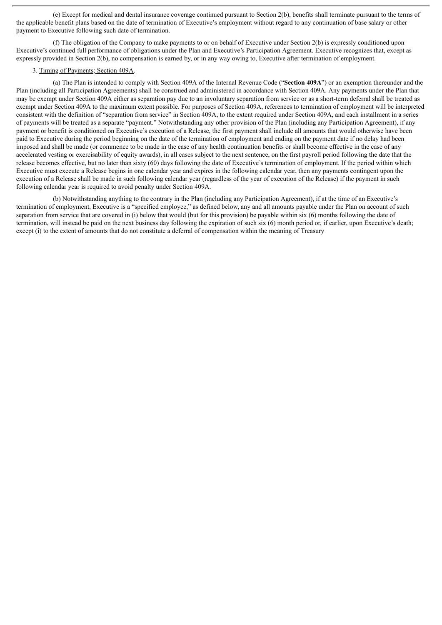(e) Except for medical and dental insurance coverage continued pursuant to Section 2(b), benefits shall terminate pursuant to the terms of the applicable benefit plans based on the date of termination of Executive's employment without regard to any continuation of base salary or other payment to Executive following such date of termination.

(f) The obligation of the Company to make payments to or on behalf of Executive under Section 2(b) is expressly conditioned upon Executive's continued full performance of obligations under the Plan and Executive's Participation Agreement. Executive recognizes that, except as expressly provided in Section 2(b), no compensation is earned by, or in any way owing to, Executive after termination of employment.

#### 3. Timing of Payments; Section 409A.

(a) The Plan is intended to comply with Section 409A of the Internal Revenue Code ("**Section 409A**") or an exemption thereunder and the Plan (including all Participation Agreements) shall be construed and administered in accordance with Section 409A. Any payments under the Plan that may be exempt under Section 409A either as separation pay due to an involuntary separation from service or as a short-term deferral shall be treated as exempt under Section 409A to the maximum extent possible. For purposes of Section 409A, references to termination of employment will be interpreted consistent with the definition of "separation from service" in Section 409A, to the extent required under Section 409A, and each installment in a series of payments will be treated as a separate "payment." Notwithstanding any other provision of the Plan (including any Participation Agreement), if any payment or benefit is conditioned on Executive's execution of a Release, the first payment shall include all amounts that would otherwise have been paid to Executive during the period beginning on the date of the termination of employment and ending on the payment date if no delay had been imposed and shall be made (or commence to be made in the case of any health continuation benefits or shall become effective in the case of any accelerated vesting or exercisability of equity awards), in all cases subject to the next sentence, on the first payroll period following the date that the release becomes effective, but no later than sixty (60) days following the date of Executive's termination of employment. If the period within which Executive must execute a Release begins in one calendar year and expires in the following calendar year, then any payments contingent upon the execution of a Release shall be made in such following calendar year (regardless of the year of execution of the Release) if the payment in such following calendar year is required to avoid penalty under Section 409A.

(b) Notwithstanding anything to the contrary in the Plan (including any Participation Agreement), if at the time of an Executive's termination of employment, Executive is a "specified employee," as defined below, any and all amounts payable under the Plan on account of such separation from service that are covered in (i) below that would (but for this provision) be payable within six (6) months following the date of termination, will instead be paid on the next business day following the expiration of such six (6) month period or, if earlier, upon Executive's death; except (i) to the extent of amounts that do not constitute a deferral of compensation within the meaning of Treasury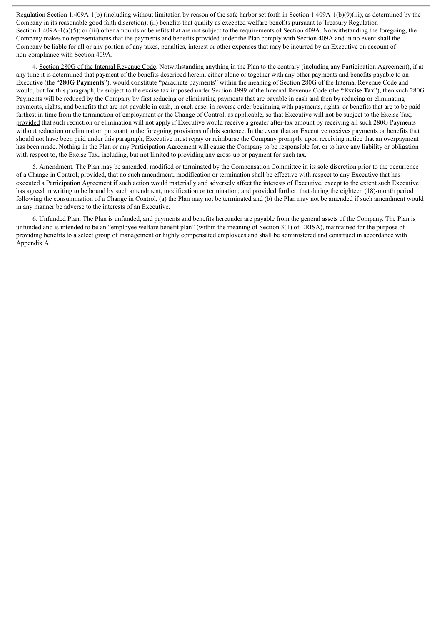Regulation Section 1.409A-1(b) (including without limitation by reason of the safe harbor set forth in Section 1.409A-1(b)(9)(iii), as determined by the Company in its reasonable good faith discretion); (ii) benefits that qualify as excepted welfare benefits pursuant to Treasury Regulation Section 1.409A-1(a)(5); or (iii) other amounts or benefits that are not subject to the requirements of Section 409A. Notwithstanding the foregoing, the Company makes no representations that the payments and benefits provided under the Plan comply with Section 409A and in no event shall the Company be liable for all or any portion of any taxes, penalties, interest or other expenses that may be incurred by an Executive on account of non-compliance with Section 409A.

4. Section 280G of the Internal Revenue Code. Notwithstanding anything in the Plan to the contrary (including any Participation Agreement), if at any time it is determined that payment of the benefits described herein, either alone or together with any other payments and benefits payable to an Executive (the "**280G Payments**"), would constitute "parachute payments" within the meaning of Section 280G of the Internal Revenue Code and would, but for this paragraph, be subject to the excise tax imposed under Section 4999 of the Internal Revenue Code (the "**Excise Tax**"), then such 280G Payments will be reduced by the Company by first reducing or eliminating payments that are payable in cash and then by reducing or eliminating payments, rights, and benefits that are not payable in cash, in each case, in reverse order beginning with payments, rights, or benefits that are to be paid farthest in time from the termination of employment or the Change of Control, as applicable, so that Executive will not be subject to the Excise Tax; provided that such reduction or elimination will not apply if Executive would receive a greater after-tax amount by receiving all such 280G Payments without reduction or elimination pursuant to the foregoing provisions of this sentence. In the event that an Executive receives payments or benefits that should not have been paid under this paragraph, Executive must repay or reimburse the Company promptly upon receiving notice that an overpayment has been made. Nothing in the Plan or any Participation Agreement will cause the Company to be responsible for, or to have any liability or obligation with respect to, the Excise Tax, including, but not limited to providing any gross-up or payment for such tax.

5. Amendment. The Plan may be amended, modified or terminated by the Compensation Committee in its sole discretion prior to the occurrence of a Change in Control; provided, that no such amendment, modification or termination shall be effective with respect to any Executive that has executed a Participation Agreement if such action would materially and adversely affect the interests of Executive, except to the extent such Executive has agreed in writing to be bound by such amendment, modification or termination; and provided further, that during the eighteen (18)-month period following the consummation of a Change in Control, (a) the Plan may not be terminated and (b) the Plan may not be amended if such amendment would in any manner be adverse to the interests of an Executive.

6. Unfunded Plan. The Plan is unfunded, and payments and benefits hereunder are payable from the general assets of the Company. The Plan is unfunded and is intended to be an "employee welfare benefit plan" (within the meaning of Section 3(1) of ERISA), maintained for the purpose of providing benefits to a select group of management or highly compensated employees and shall be administered and construed in accordance with Appendix A.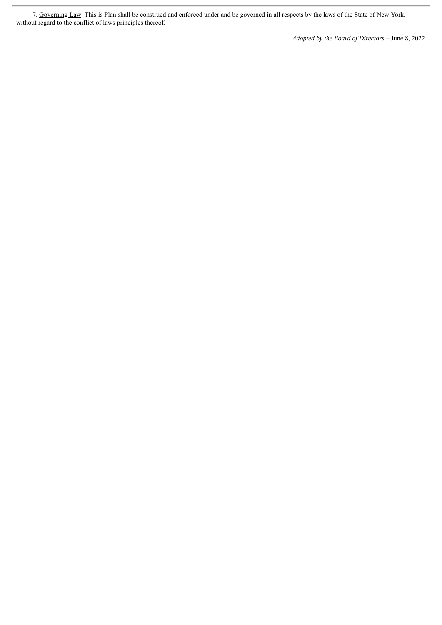7. Governing Law. This is Plan shall be construed and enforced under and be governed in all respects by the laws of the State of New York, without regard to the conflict of laws principles thereof.

*Adopted by the Board of Directors* – June 8, 2022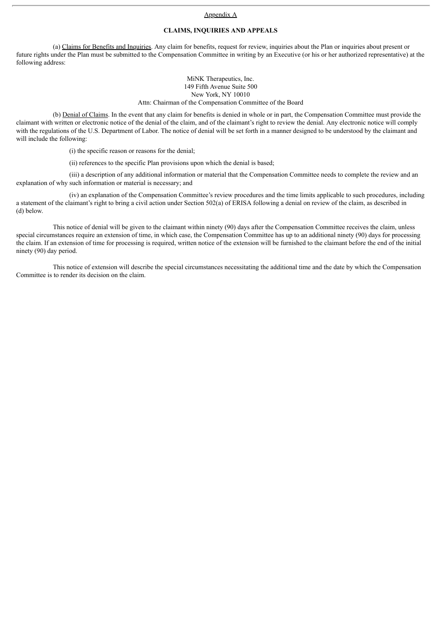Appendix A

#### **CLAIMS, INQUIRIES AND APPEALS**

(a) Claims for Benefits and Inquiries. Any claim for benefits, request for review, inquiries about the Plan or inquiries about present or future rights under the Plan must be submitted to the Compensation Committee in writing by an Executive (or his or her authorized representative) at the following address:

#### MiNK Therapeutics, Inc. 149 Fifth Avenue Suite 500 New York, NY 10010 Attn: Chairman of the Compensation Committee of the Board

(b) Denial of Claims. In the event that any claim for benefits is denied in whole or in part, the Compensation Committee must provide the claimant with written or electronic notice of the denial of the claim, and of the claimant's right to review the denial. Any electronic notice will comply with the regulations of the U.S. Department of Labor. The notice of denial will be set forth in a manner designed to be understood by the claimant and will include the following:

(i) the specific reason or reasons for the denial;

(ii) references to the specific Plan provisions upon which the denial is based;

(iii) a description of any additional information or material that the Compensation Committee needs to complete the review and an explanation of why such information or material is necessary; and

(iv) an explanation of the Compensation Committee's review procedures and the time limits applicable to such procedures, including a statement of the claimant's right to bring a civil action under Section 502(a) of ERISA following a denial on review of the claim, as described in (d) below.

This notice of denial will be given to the claimant within ninety (90) days after the Compensation Committee receives the claim, unless special circumstances require an extension of time, in which case, the Compensation Committee has up to an additional ninety (90) days for processing the claim. If an extension of time for processing is required, written notice of the extension will be furnished to the claimant before the end of the initial ninety (90) day period.

This notice of extension will describe the special circumstances necessitating the additional time and the date by which the Compensation Committee is to render its decision on the claim.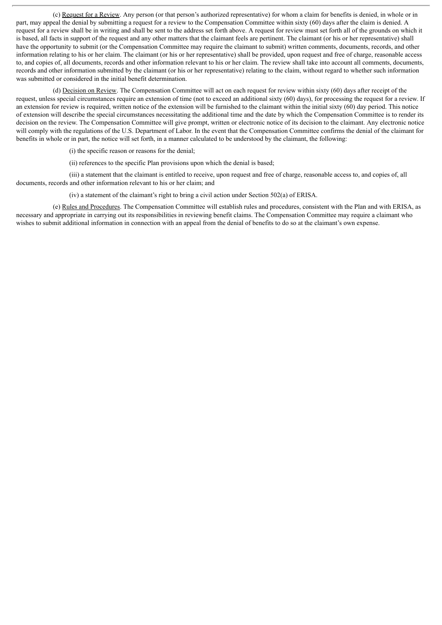(c) Request for a Review. Any person (or that person's authorized representative) for whom a claim for benefits is denied, in whole or in part, may appeal the denial by submitting a request for a review to the Compensation Committee within sixty (60) days after the claim is denied. A request for a review shall be in writing and shall be sent to the address set forth above. A request for review must set forth all of the grounds on which it is based, all facts in support of the request and any other matters that the claimant feels are pertinent. The claimant (or his or her representative) shall have the opportunity to submit (or the Compensation Committee may require the claimant to submit) written comments, documents, records, and other information relating to his or her claim. The claimant (or his or her representative) shall be provided, upon request and free of charge, reasonable access to, and copies of, all documents, records and other information relevant to his or her claim. The review shall take into account all comments, documents, records and other information submitted by the claimant (or his or her representative) relating to the claim, without regard to whether such information was submitted or considered in the initial benefit determination.

(d) Decision on Review. The Compensation Committee will act on each request for review within sixty (60) days after receipt of the request, unless special circumstances require an extension of time (not to exceed an additional sixty (60) days), for processing the request for a review. If an extension for review is required, written notice of the extension will be furnished to the claimant within the initial sixty (60) day period. This notice of extension will describe the special circumstances necessitating the additional time and the date by which the Compensation Committee is to render its decision on the review. The Compensation Committee will give prompt, written or electronic notice of its decision to the claimant. Any electronic notice will comply with the regulations of the U.S. Department of Labor. In the event that the Compensation Committee confirms the denial of the claimant for benefits in whole or in part, the notice will set forth, in a manner calculated to be understood by the claimant, the following:

(i) the specific reason or reasons for the denial;

(ii) references to the specific Plan provisions upon which the denial is based;

(iii) a statement that the claimant is entitled to receive, upon request and free of charge, reasonable access to, and copies of, all documents, records and other information relevant to his or her claim; and

(iv) a statement of the claimant's right to bring a civil action under Section 502(a) of ERISA.

(e) Rules and Procedures. The Compensation Committee will establish rules and procedures, consistent with the Plan and with ERISA, as necessary and appropriate in carrying out its responsibilities in reviewing benefit claims. The Compensation Committee may require a claimant who wishes to submit additional information in connection with an appeal from the denial of benefits to do so at the claimant's own expense.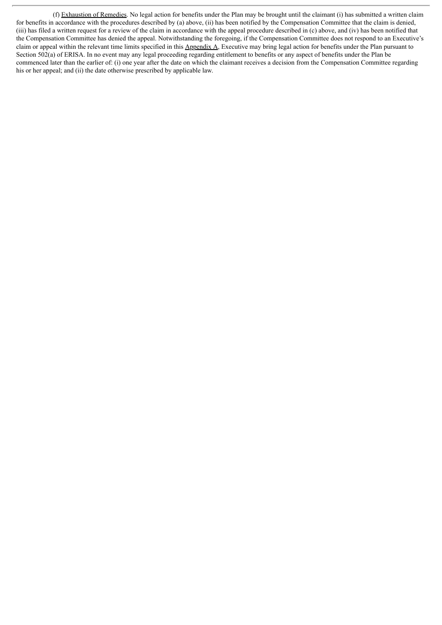(f) Exhaustion of Remedies. No legal action for benefits under the Plan may be brought until the claimant (i) has submitted a written claim for benefits in accordance with the procedures described by (a) above, (ii) has been notified by the Compensation Committee that the claim is denied, (iii) has filed a written request for a review of the claim in accordance with the appeal procedure described in (c) above, and (iv) has been notified that the Compensation Committee has denied the appeal. Notwithstanding the foregoing, if the Compensation Committee does not respond to an Executive's claim or appeal within the relevant time limits specified in this Appendix A, Executive may bring legal action for benefits under the Plan pursuant to Section 502(a) of ERISA. In no event may any legal proceeding regarding entitlement to benefits or any aspect of benefits under the Plan be commenced later than the earlier of: (i) one year after the date on which the claimant receives a decision from the Compensation Committee regarding his or her appeal; and (ii) the date otherwise prescribed by applicable law.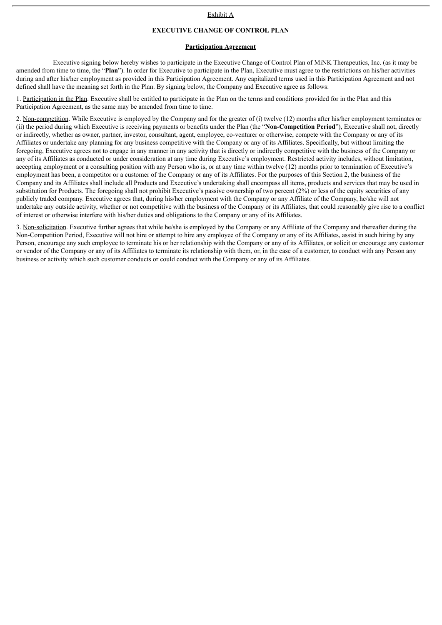#### Exhibit A

#### **EXECUTIVE CHANGE OF CONTROL PLAN**

#### **Participation Agreement**

Executive signing below hereby wishes to participate in the Executive Change of Control Plan of MiNK Therapeutics, Inc. (as it may be amended from time to time, the "**Plan**"). In order for Executive to participate in the Plan, Executive must agree to the restrictions on his/her activities during and after his/her employment as provided in this Participation Agreement. Any capitalized terms used in this Participation Agreement and not defined shall have the meaning set forth in the Plan. By signing below, the Company and Executive agree as follows:

1. Participation in the Plan. Executive shall be entitled to participate in the Plan on the terms and conditions provided for in the Plan and this Participation Agreement, as the same may be amended from time to time.

2. Non-competition. While Executive is employed by the Company and for the greater of (i) twelve (12) months after his/her employment terminates or (ii) the period during which Executive is receiving payments or benefits under the Plan (the "**Non-Competition Period**"), Executive shall not, directly or indirectly, whether as owner, partner, investor, consultant, agent, employee, co-venturer or otherwise, compete with the Company or any of its Affiliates or undertake any planning for any business competitive with the Company or any of its Affiliates. Specifically, but without limiting the foregoing, Executive agrees not to engage in any manner in any activity that is directly or indirectly competitive with the business of the Company or any of its Affiliates as conducted or under consideration at any time during Executive's employment. Restricted activity includes, without limitation, accepting employment or a consulting position with any Person who is, or at any time within twelve (12) months prior to termination of Executive's employment has been, a competitor or a customer of the Company or any of its Affiliates. For the purposes of this Section 2, the business of the Company and its Affiliates shall include all Products and Executive's undertaking shall encompass all items, products and services that may be used in substitution for Products. The foregoing shall not prohibit Executive's passive ownership of two percent (2%) or less of the equity securities of any publicly traded company. Executive agrees that, during his/her employment with the Company or any Affiliate of the Company, he/she will not undertake any outside activity, whether or not competitive with the business of the Company or its Affiliates, that could reasonably give rise to a conflict of interest or otherwise interfere with his/her duties and obligations to the Company or any of its Affiliates.

3. Non-solicitation. Executive further agrees that while he/she is employed by the Company or any Affiliate of the Company and thereafter during the Non-Competition Period, Executive will not hire or attempt to hire any employee of the Company or any of its Affiliates, assist in such hiring by any Person, encourage any such employee to terminate his or her relationship with the Company or any of its Affiliates, or solicit or encourage any customer or vendor of the Company or any of its Affiliates to terminate its relationship with them, or, in the case of a customer, to conduct with any Person any business or activity which such customer conducts or could conduct with the Company or any of its Affiliates.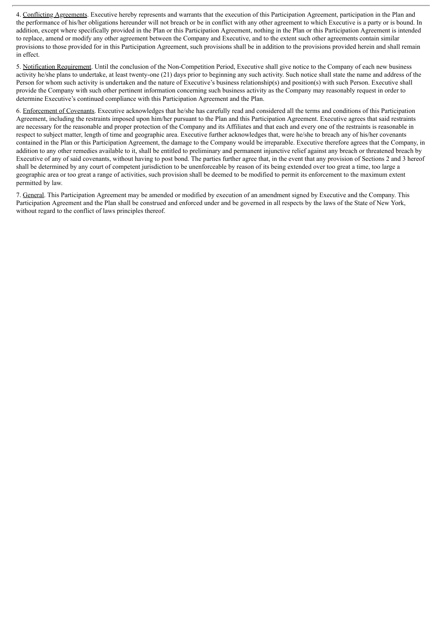4. Conflicting Agreements. Executive hereby represents and warrants that the execution of this Participation Agreement, participation in the Plan and the performance of his/her obligations hereunder will not breach or be in conflict with any other agreement to which Executive is a party or is bound. In addition, except where specifically provided in the Plan or this Participation Agreement, nothing in the Plan or this Participation Agreement is intended to replace, amend or modify any other agreement between the Company and Executive, and to the extent such other agreements contain similar provisions to those provided for in this Participation Agreement, such provisions shall be in addition to the provisions provided herein and shall remain in effect.

5. Notification Requirement. Until the conclusion of the Non-Competition Period, Executive shall give notice to the Company of each new business activity he/she plans to undertake, at least twenty-one (21) days prior to beginning any such activity. Such notice shall state the name and address of the Person for whom such activity is undertaken and the nature of Executive's business relationship(s) and position(s) with such Person. Executive shall provide the Company with such other pertinent information concerning such business activity as the Company may reasonably request in order to determine Executive's continued compliance with this Participation Agreement and the Plan.

6. Enforcement of Covenants. Executive acknowledges that he/she has carefully read and considered all the terms and conditions of this Participation Agreement, including the restraints imposed upon him/her pursuant to the Plan and this Participation Agreement. Executive agrees that said restraints are necessary for the reasonable and proper protection of the Company and its Affiliates and that each and every one of the restraints is reasonable in respect to subject matter, length of time and geographic area. Executive further acknowledges that, were he/she to breach any of his/her covenants contained in the Plan or this Participation Agreement, the damage to the Company would be irreparable. Executive therefore agrees that the Company, in addition to any other remedies available to it, shall be entitled to preliminary and permanent injunctive relief against any breach or threatened breach by Executive of any of said covenants, without having to post bond. The parties further agree that, in the event that any provision of Sections 2 and 3 hereof shall be determined by any court of competent jurisdiction to be unenforceable by reason of its being extended over too great a time, too large a geographic area or too great a range of activities, such provision shall be deemed to be modified to permit its enforcement to the maximum extent permitted by law.

7. General. This Participation Agreement may be amended or modified by execution of an amendment signed by Executive and the Company. This Participation Agreement and the Plan shall be construed and enforced under and be governed in all respects by the laws of the State of New York, without regard to the conflict of laws principles thereof.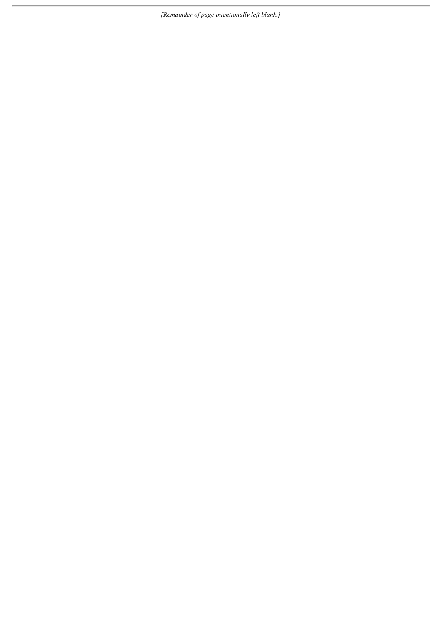*[Remainder of page intentionally left blank.]*